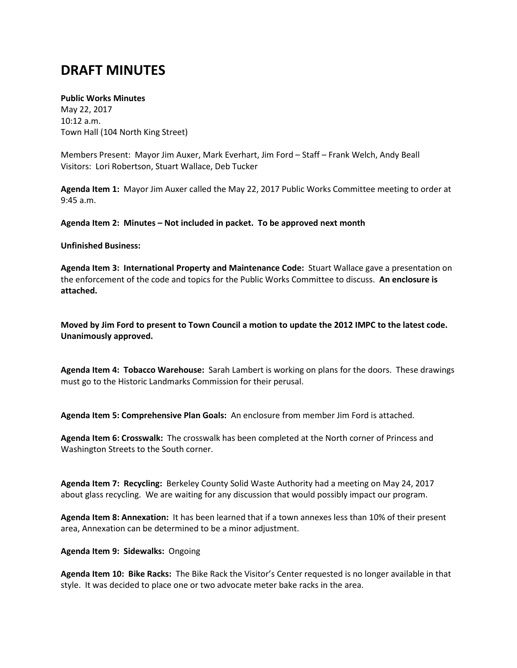# **DRAFT MINUTES**

## **Public Works Minutes**

May 22, 2017 10:12 a.m. Town Hall (104 North King Street)

Members Present: Mayor Jim Auxer, Mark Everhart, Jim Ford – Staff – Frank Welch, Andy Beall Visitors: Lori Robertson, Stuart Wallace, Deb Tucker

**Agenda Item 1:** Mayor Jim Auxer called the May 22, 2017 Public Works Committee meeting to order at 9:45 a.m.

**Agenda Item 2: Minutes – Not included in packet. To be approved next month**

### **Unfinished Business:**

**Agenda Item 3: International Property and Maintenance Code:** Stuart Wallace gave a presentation on the enforcement of the code and topics for the Public Works Committee to discuss. **An enclosure is attached.**

**Moved by Jim Ford to present to Town Council a motion to update the 2012 IMPC to the latest code. Unanimously approved.**

**Agenda Item 4: Tobacco Warehouse:** Sarah Lambert is working on plans for the doors. These drawings must go to the Historic Landmarks Commission for their perusal.

**Agenda Item 5: Comprehensive Plan Goals:** An enclosure from member Jim Ford is attached.

**Agenda Item 6: Crosswalk:** The crosswalk has been completed at the North corner of Princess and Washington Streets to the South corner.

**Agenda Item 7: Recycling:** Berkeley County Solid Waste Authority had a meeting on May 24, 2017 about glass recycling. We are waiting for any discussion that would possibly impact our program.

**Agenda Item 8: Annexation:** It has been learned that if a town annexes less than 10% of their present area, Annexation can be determined to be a minor adjustment.

#### **Agenda Item 9: Sidewalks:** Ongoing

**Agenda Item 10: Bike Racks:** The Bike Rack the Visitor's Center requested is no longer available in that style. It was decided to place one or two advocate meter bake racks in the area.